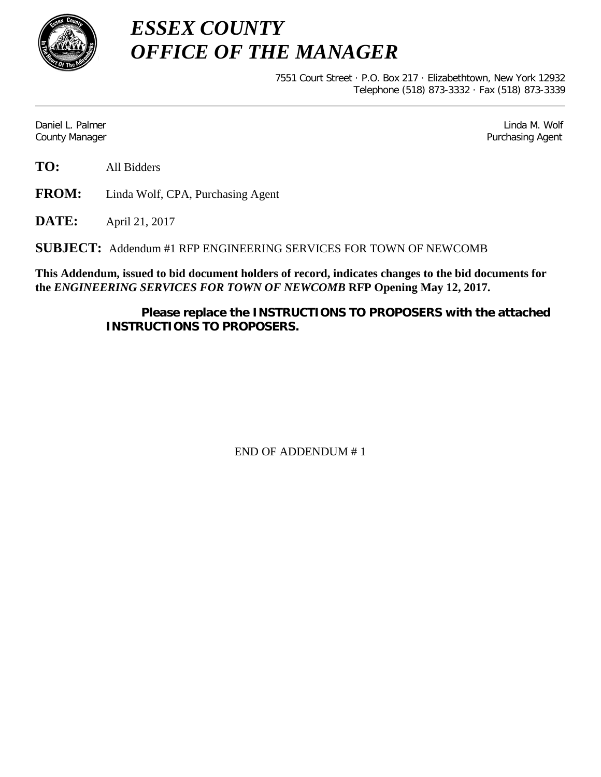

*ESSEX COUNTY OFFICE OF THE MANAGER*

> 7551 Court Street · P.O. Box 217 · Elizabethtown, New York 12932 Telephone (518) 873-3332 · Fax (518) 873-3339

Daniel L. Palmer Later and the control of the control of the control of the control of the control of the control of the control of the control of the control of the control of the control of the control of the control of County Manager Purchasing Agent

**TO:** All Bidders

**FROM:** Linda Wolf, CPA, Purchasing Agent

**DATE:** April 21, 2017

**SUBJECT:** Addendum #1 RFP ENGINEERING SERVICES FOR TOWN OF NEWCOMB

**This Addendum, issued to bid document holders of record, indicates changes to the bid documents for the** *ENGINEERING SERVICES FOR TOWN OF NEWCOMB* **RFP Opening May 12, 2017.**

> **Please replace the INSTRUCTIONS TO PROPOSERS with the attached INSTRUCTIONS TO PROPOSERS.**

> > END OF ADDENDUM # 1